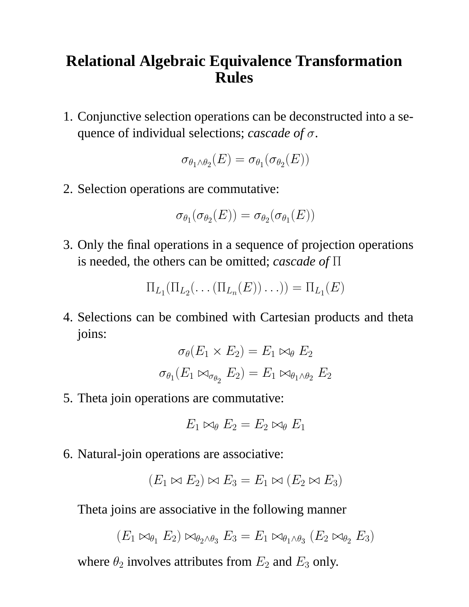## **Relational Algebraic Equivalence Transformation Rules**

1. Conjunctive selection operations can be deconstructed into a sequence of individual selections; *cascade of* σ.

$$
\sigma_{\theta_1 \wedge \theta_2}(E) = \sigma_{\theta_1}(\sigma_{\theta_2}(E))
$$

2. Selection operations are commutative:

$$
\sigma_{\theta_1}(\sigma_{\theta_2}(E)) = \sigma_{\theta_2}(\sigma_{\theta_1}(E))
$$

3. Only the final operations in a sequence of projection operations is needed, the others can be omitted; *cascade of* Π

$$
\Pi_{L_1}(\Pi_{L_2}(\ldots(\Pi_{L_n}(E))\ldots)) = \Pi_{L_1}(E)
$$

4. Selections can be combined with Cartesian products and theta joins:

$$
\sigma_{\theta}(E_1 \times E_2) = E_1 \bowtie_{\theta} E_2
$$

$$
\sigma_{\theta_1}(E_1 \bowtie_{\sigma_{\theta_2}} E_2) = E_1 \bowtie_{\theta_1 \wedge \theta_2} E_2
$$

5. Theta join operations are commutative:

$$
E_1 \bowtie_{\theta} E_2 = E_2 \bowtie_{\theta} E_1
$$

6. Natural-join operations are associative:

$$
(E_1 \bowtie E_2) \bowtie E_3 = E_1 \bowtie (E_2 \bowtie E_3)
$$

Theta joins are associative in the following manner

$$
(E_1 \bowtie_{\theta_1} E_2) \bowtie_{\theta_2 \wedge \theta_3} E_3 = E_1 \bowtie_{\theta_1 \wedge \theta_3} (E_2 \bowtie_{\theta_2} E_3)
$$

where  $\theta_2$  involves attributes from  $E_2$  and  $E_3$  only.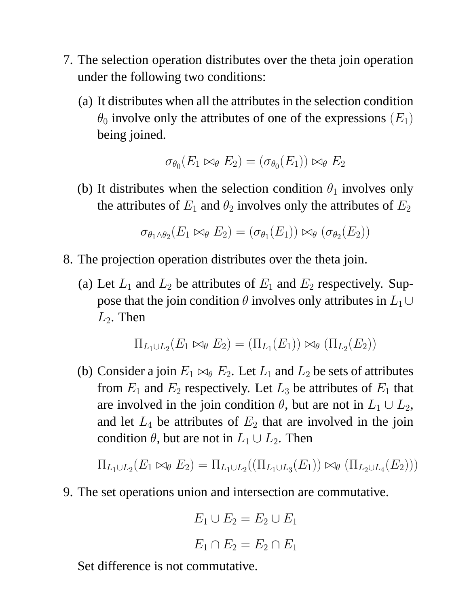- 7. The selection operation distributes over the theta join operation under the following two conditions:
	- (a) It distributes when all the attributes in the selection condition  $\theta_0$  involve only the attributes of one of the expressions  $(E_1)$ being joined.

$$
\sigma_{\theta_0}(E_1 \bowtie_{\theta} E_2) = (\sigma_{\theta_0}(E_1)) \bowtie_{\theta} E_2
$$

(b) It distributes when the selection condition  $\theta_1$  involves only the attributes of  $E_1$  and  $\theta_2$  involves only the attributes of  $E_2$ 

$$
\sigma_{\theta_1 \wedge \theta_2}(E_1 \bowtie_{\theta} E_2) = (\sigma_{\theta_1}(E_1)) \bowtie_{\theta} (\sigma_{\theta_2}(E_2))
$$

- 8. The projection operation distributes over the theta join.
	- (a) Let  $L_1$  and  $L_2$  be attributes of  $E_1$  and  $E_2$  respectively. Suppose that the join condition  $\theta$  involves only attributes in  $L_1 \cup$  $L_2$ . Then

$$
\Pi_{L_1\cup L_2}(E_1\bowtie_{\theta} E_2) = (\Pi_{L_1}(E_1))\bowtie_{\theta} (\Pi_{L_2}(E_2))
$$

(b) Consider a join  $E_1 \Join_{\theta} E_2$ . Let  $L_1$  and  $L_2$  be sets of attributes from  $E_1$  and  $E_2$  respectively. Let  $L_3$  be attributes of  $E_1$  that are involved in the join condition  $\theta$ , but are not in  $L_1 \cup L_2$ , and let  $L_4$  be attributes of  $E_2$  that are involved in the join condition  $\theta$ , but are not in  $L_1 \cup L_2$ . Then

$$
\Pi_{L_1 \cup L_2}(E_1 \bowtie_{\theta} E_2) = \Pi_{L_1 \cup L_2}((\Pi_{L_1 \cup L_3}(E_1)) \bowtie_{\theta} (\Pi_{L_2 \cup L_4}(E_2)))
$$

9. The set operations union and intersection are commutative.

$$
E_1 \cup E_2 = E_2 \cup E_1
$$

$$
E_1 \cap E_2 = E_2 \cap E_1
$$

Set difference is not commutative.